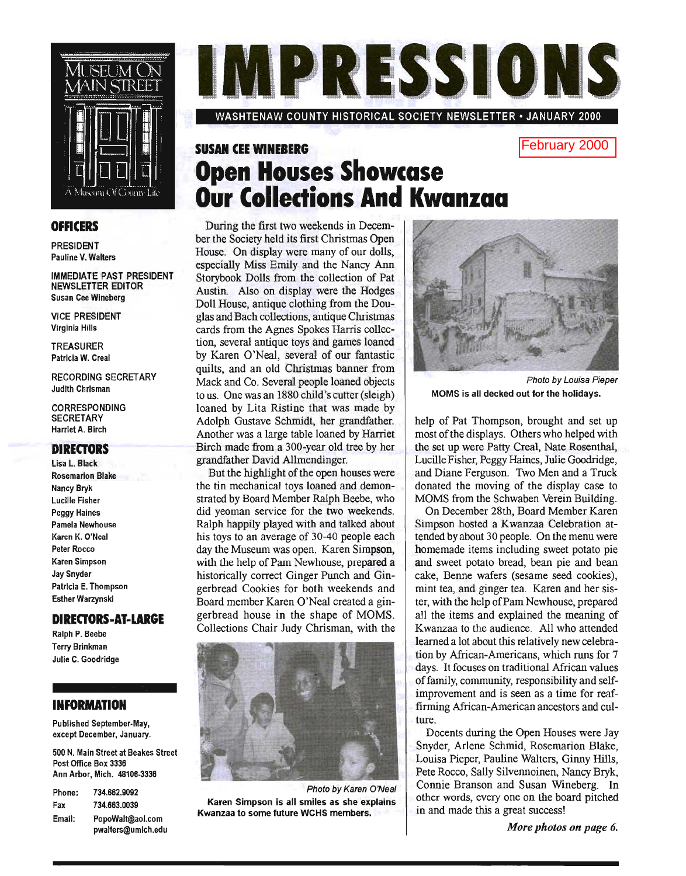

### **OFFICERS**

PRESIDENT Pauline V. Walters

IMMEDIATE PAST PRESIDENT NEWSLETTER EDITOR Susan Cee Wineberg

VICE PRESIDENT Virginia Hills

TREASURER Patricia W. Creal

RECORDING SECRETARY Judith Chrisman

CORRESPONDING **SECRETARY** Harriet A. Birch

### **DIRECTORS**

Lisa L. Black Rosemarion Blake Nancy Bryk Lucille Fisher Peggy Haines Pamela Newhouse Karen K. O'Neal Peter Rocco Karen Simpson Jay Snyder Patricia E. Thompson Esther Warzynski

### **DIRECTORS-AT-LARGE**

Ralph P. Beebe Terry Brinkman Julie C. Goodridge

### **INFORMATION**

Published September. May, except December, January.

500 N. Main Street at Beakes Street Post Office Box 3336 Ann Arbor, Mich. 48106·3336

| Phone: | 734.662.9092                           |
|--------|----------------------------------------|
| Fax    | 734 663 0039                           |
| Email: | PopoWalt@aol.com<br>pwalters@umich.edu |

IN PRESSIONS

WASHTENAW COUNTY HISTORICAL SOCIETY NEWSLETTER· JANUARY 2000

## **SUSAN CEE WINEBERG Open Houses Showcase Our Collections And Kwanzaa**

During the first two weekends in December the Society held its first Christmas Open House. On display were many of our dolls, especially Miss Emily and the Nancy Ann Storybook Dolls from the collection of Pat Austin. Also on display were the Hodges Doll House, antique clothing from the Douglas and Bach collections, antique Christmas cards from the Agnes Spokes Harris collection, several antique toys and games loaned by Karen O'Neal, several of our fantastic quilts, and an old Christmas banner from Mack and Co. Several people loaned objects to us. One was an 1880 child's cutter (sleigh) loaned by Lita Ristine that was made by Adolph Gustave Schmidt, her grandfather. Another was a large table loaned by Harriet Birch made from a 300-year old tree by her grandfather David Allmendinger.

But the highlight of the open houses were the tin mechanical toys loaned and demonstrated by Board Member Ralph Beebe, who did yeoman service for the two weekends. Ralph happily played with and talked about his toys to an average of 30-40 people each day the Museum was open. Karen Simpson, with the help of Pam Newhouse, prepared a historically correct Ginger Punch and Gingerbread Cookies for both weekends and Board member Karen O'Neal created a gingerbread house in the shape of MOMS. Collections Chair Judy Chrisman, with the



Photo by Karen O'Neal Karen Simpson is all smiles as she explains Kwanzaa to some future WCHS members.



Photo by Louisa Pieper MOMS is all decked out for the holidays.

February 2000

help of Pat Thompson, brought and set up most of the displays. Others who helped with the set up were Patty Creal, Nate Rosenthal, Lucille Fisher, Peggy Haines, Julie Goodridge, and Diane Ferguson. Two Men and a Truck donated the moving of the display case to MOMS from the Schwaben Verein Building.

On December 28th, Board Member Karen Simpson hosted a Kwanzaa Celebration attended by about 30 people. On the menu were homemade items including sweet potato pie and sweet potato bread, bean pie and bean cake, Benne wafers (sesame seed cookies), mint tea, and ginger tea. Karen and her sister, with the help of Pam Newhouse, prepared all the items and explained the meaning of Kwanzaa to the audience. All who attended learned a lot about this relatively new celebration by African-Americans, which runs for 7 days. It focuses on traditional African values offamily, community, responsibility and selfimprovement and is seen as a time for reaffirming African-American ancestors and culture.

Docents during the Open Houses were Jay Snyder, Arlene Schmid, Rosemarion Blake, Louisa Pieper, Pauline Walters, Ginny Hills, Pete Rocco, Sally Silvennoinen, Nancy Bryk, Connie Branson and Susan Wineberg. In other words, every one on the board pitched in and made this a great success!

*More photos on page 6.*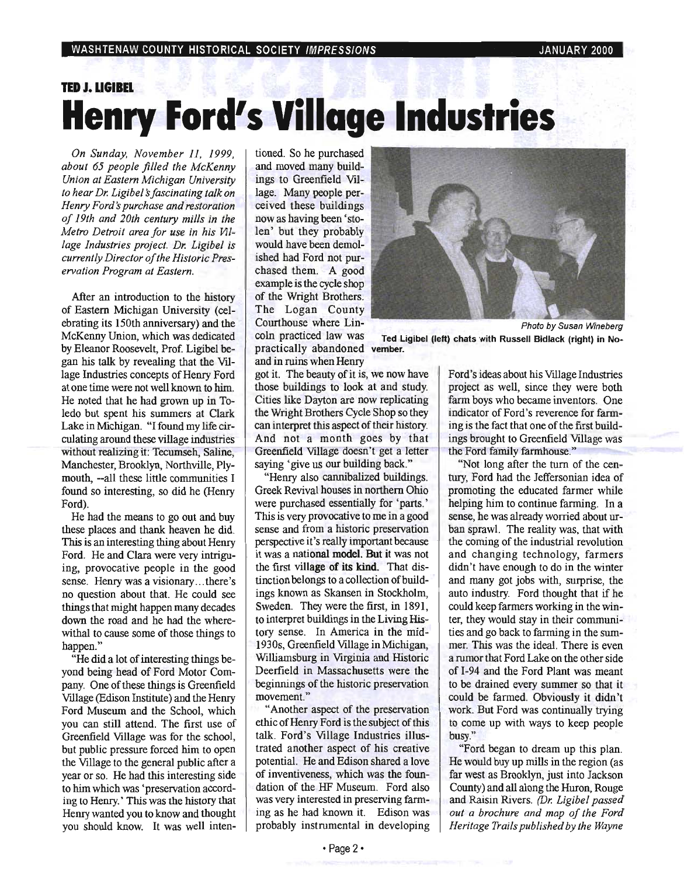# **TED J. LlGIBEL Henry Ford's Village Industries**

*On Sunday, November* 11, 1999, *about* 65 *people filled the McKenny Union at Eastern Michigan University to hear Dr. Ligibel's fascinating talk on Henry Ford's purchase and restoration of 19th and 20th century mills in the Metro Detroit area for use in his Village Industries project. Dr. Ligibel is currently Director of the Historic Preservation Program at Eastern.* 

After an introduction to the history of Eastern Michigan University (celebrating its 150th anniversary) and the McKenny Union, which was dedicated by Eleanor Roosevelt, Prof. Ligibel began his talk by revealing that the VIllage Industries concepts of Henry Ford at one time were not well known to him. He noted that he had grown up in Toledo but spent his summers at Clark Lake in Michigan. "I found my life circulating around these village industries without realizing it: Tecumseh, Saline, Manchester, Brooklyn, Northville, Plymouth, --all these little communities I found so interesting, so did he (Henry Ford).

He had the means to go out and buy these places and thank heaven he did. This is an interesting thing about Henry Ford. He and Clara were very intriguing, provocative people in the good sense. Henry was a visionary...there's no question about that. He could see things that might happen many decades down the road and he had the wherewithal to cause some of those things to happen."

"He did a lot of interesting things beyond being head of Ford Motor Company. One of these things is Greenfield Village (Edison Institute) and the Henry Ford Museum and the School, which you can still attend. The first use of Greenfield Village was for the school, but public pressure forced him to open the VIllage to the general public after a year or so. He had this interesting side to him which was 'preservation according to Henry. ' This was the history that Henry wanted you to know and thought you should know. It was well intentioned. So he purchased and moved many buildings to Greenfield VIllage. Many people perceived these buildings now as having been' stolen' but they probably would have been demolished had Ford not purchased them. A good example is the cycle shop of the Wright Brothers. The Logan County Courthouse where Lincoln practiced law was practically abandoned vember. and in ruins when Henry



Photo by Susan Wineberg Ted Ligibel (left) chats with Russell Bidlack (right) in No-

got it. The beauty of it is, we now have those buildings to look at and study. Cities like Dayton are now replicating the Wright Brothers Cycle Shop so they can interpret this aspect of their history. And not a month goes by that Greenfield Village doesn't get a letter saying 'give us our building back."

"Henry also cannibalized buildings. Greek Revival houses in northern Ohio were purchased essentially for 'parts.' This is very provocative to me in a good sense and from a historic preservation perspective it's really important because it was a national model. But it was not the first village of its kind. That distinction belongs to a collection of buildings known as Skansen in Stockholm, Sweden. They were the first, in 1891, to interpret buildings in the Living History sense. In America in the mid-1930s, Greenfield VIllage in Michigan, Williamsburg in Virginia and Historic Deerfield in Massachusetts were the beginnings of the historic preservation movement."

"Another aspect of the preservation ethic of Henry Ford is the subject of this talk. Ford's VIllage Industries illustrated another aspect of his creative potential. He and Edison shared a love of inventiveness, which was the foundation of the HF Museum. Ford also was very interested in preserving farming as he had known it. Edison was probably instrumental in developing

Ford's ideas about his VIllage Industries project as well, since they were both farm boys who became inventors. One indicator of Ford's reverence for farming is the fact that one of the first buildings brought to Greenfield Village was the Ford family farmhouse."

"Not long after the tum of the century, Ford had the Jeffersonian idea of promoting the educated farmer while helping him to continue farming. In a sense, he was already worried about urban sprawl. The reality was, that with the coming of the industrial revolution and changing technology, farmers didn't have enough to do in the winter and many got jobs with, surprise, the auto industry. Ford thought that if he could keep farmers working in the winter, they would stay in their communities and go back to farming in the summer. This was the ideal. There is even a rumor that Ford Lake on the other side of I-94 and the Ford Plant was meant to be drained every summer so that it could be farmed. Obviously it didn't work. But Ford was continually trying to come up with ways to keep people busy."

"Ford began to dream up this plan. He would buy up mills in the region (as far west as Brooklyn, just into Jackson County) and all along the Huron, Rouge and Raisin Rivers. *(Dr. Ligibel passed out a brochure and map of the Ford Heritage Trails published by the Wayne*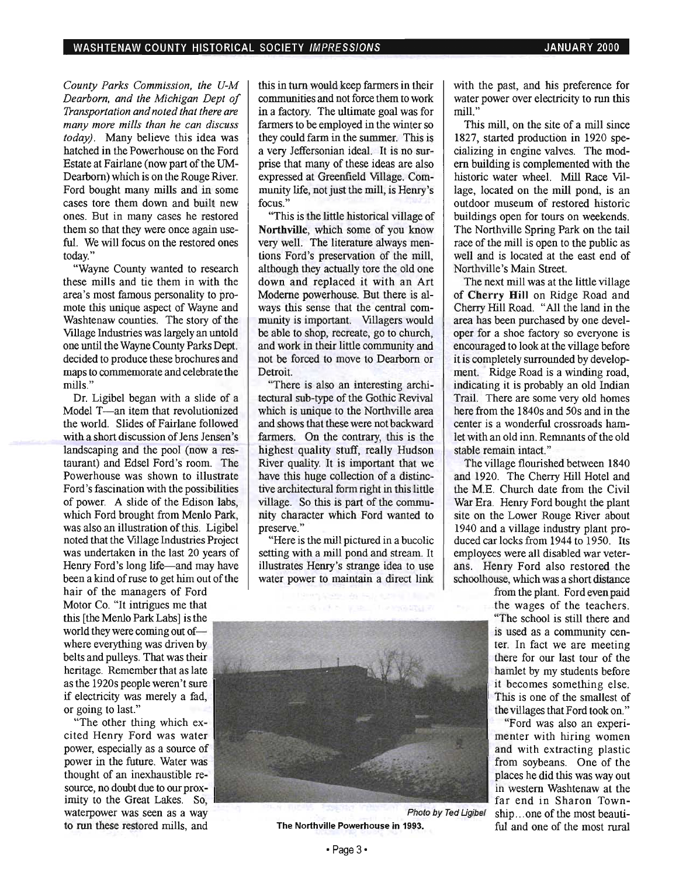*County Parks Commission, the U-M Dearborn, and the Michigan Dept of Transportation and noted that there are many more mills than he can discuss today}.* Many believe this idea was hatched in the Powerhouse on the Ford Estate at Fairlane (now part of the UM-Dearborn) which is on the Rouge River. Ford bought many mills and in some cases tore them down and built new ones. But in many cases he restored them so that they were once again useful. We will focus on the restored ones today."

"Wayne County wanted to research these mills and tie them in with the area's most famous personality to promote this unique aspect of Wayne and Washtenaw counties. The story of the Village Industries was largely an untold one until the Wayne County Parks Dept. decided to produce these brochures and maps to commemorate and celebrate the mills."

Dr. Ligibel began with a slide of a Model T-an item that revolutionized the world. Slides of Fairlane followed with a short discussion of Jens Jensen's landscaping and the pool (now a restaurant) and Edsel Ford's room. The Powerhouse was shown to illustrate Ford's fascination with the possibilities of power. A slide of the Edison labs, which Ford brought from Menlo Park, was also an illustration of this. Ligibel noted that the Village Industries Project was undertaken in the last 20 years of Henry Ford's long life-and may have been a kind of ruse to get him out of the

hair of the managers of Ford Motor Co. "It intrigues me that world they were coming out ofwhere everything was driven by belts and pulleys. That was their heritage. Remember that as late as the 1920s people weren't sure if electricity was merely a fad, or going to last."

"The other thing which excited Henry Ford was water power, especially as a source of power in the future. Water was thought of an inexhaustible resource, no doubt due to our proximity to the Great Lakes. So, waterpower was seen as a way to run these restored mills, and

this in turn would keep farmers in their communities and not force them to work in a factory. The ultimate goal was for farmers to be employed in the winter so they could farm in the summer. This is a very Jeffersonian ideal. It is no surprise that many of these ideas are also expressed at Greenfield Village. Community life, not just the mill, is Henry's focus."

"This is the little historical village of Northville, which some of you know very well. The literature always mentions Ford's preservation of the mill, although they actually tore the old one down and replaced it with an Art Moderne powerhouse. But there is always this sense that the central community is important. Villagers would be able to shop, recreate, go to church, and work in their little community and not be forced to move to Dearborn or **Detroit** 

"There is also an interesting architectural sub-type of the Gothic Revival which is unique to the Northville area and shows that these were not backward farmers. On the contrary, this is the highest quality stuff, really Hudson River quality. It is important that we have this huge collection of a distinctive architectural form right in this little village. So this is part of the community character which Ford wanted to preserve."

"Here is the mill pictured in a bucolic setting with a mill pond and stream. It illustrates Henry's strange idea to use water power to maintain a direct link



The Northville Powerhouse in 1993. ful and one of the most rural

with the past, and his preference for water power over electricity to run this mill."

This mill, on the site of a mill since 1827, started production in 1920 specializing in engine valves. The modem building is complemented with the historic water wheel. Mill Race Village, located on the mill pond, is an outdoor museum of restored historic buildings open for tours on weekends. The Northville Spring Park on the tail race of the mill is open to the public as well and is located at the east end of Northville's Main Street.

The next mill was at the little village of Cherry Hill on Ridge Road and Cherry Hill Road. "All the land in the area has been purchased by one developer for a shoe factory so everyone is encouraged to look at the village before it is completely surrounded by development. Ridge Road is a winding road, indicating it is probably an old Indian Trail. There are some very old homes here from the 1840s and 50s and in the center is a wonderful crossroads hamlet with an old inn. Remnants of the old stable remain intact."

The village flourished between 1840 and 1920. The Cherry Hill Hotel and the M.E. Church date from the Civil War Era. Henry Ford bought the plant site on the Lower Rouge River about 1940 and a village industry plant produced car locks from 1944 to 1950. Its employees were all disabled war veterans. Henry Ford also restored the schoolhouse, which was a short distance

from the plant. Ford even paid is used as a community center. In fact we are meeting there for our last tour of the hamlet by my students before it becomes something else. This is one of the smallest of the villages that Ford took on."

"Ford was also an experimenter with hiring women and with extracting plastic from soybeans. One of the places he did this was way out in western Washtenaw at the far end in Sharon Town-Photo by Ted Ligibel ship ... one of the most beauti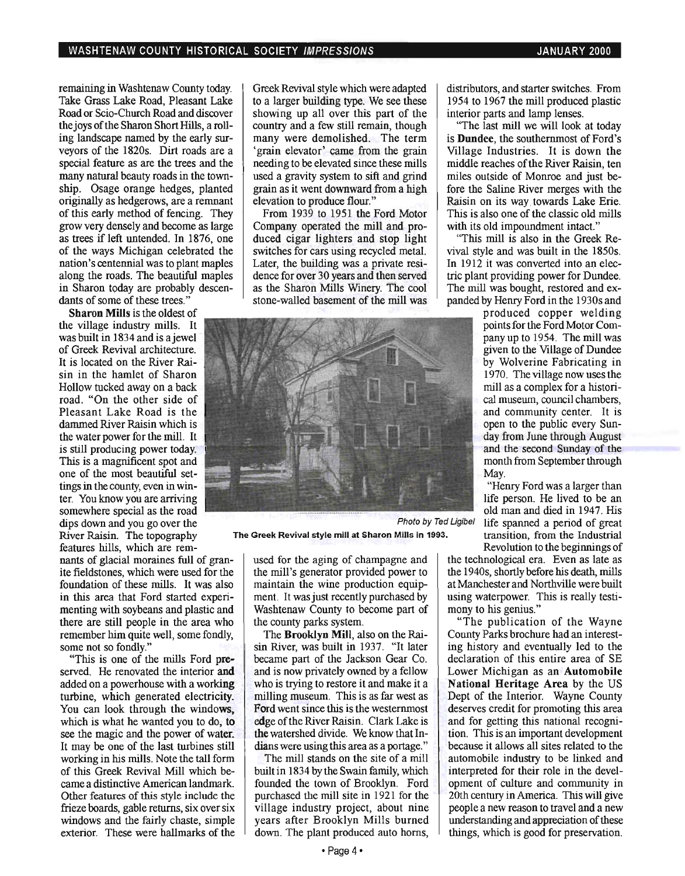remaining in Washtenaw County today. Take Grass Lake Road, Pleasant Lake Road or Scio-Church Road and discover the joys of the Sharon Short Hills, a rolling landscape named by the early surveyors of the 1820s. Dirt roads are a special feature as are the trees and the many natural beauty roads in the township. Osage orange hedges, planted originally as hedgerows, are a remnant of this early method of fencing. They grow very densely and become as large as trees if left untended. In 1876, one of the ways Michigan celebrated the nation's centennial was to plant maples along the roads. The beautiful maples in Sharon today are probably descendants of some of these trees."

Sharon Mills is the oldest of the village industry mills. It was built in 1834 and is ajewel of Greek Revival architecture. It is located on the River Raisin in the hamlet of Sharon Hollow tucked away on a back road. "On the other side of Pleasant Lake Road is the dammed River Raisin which is the water power for the mill. It is still producing power today. This is a magnificent spot and one of the most beautiful settings in the county, even in winter. You know you are arriving somewhere special as the road dips down and you go over the River Raisin. The topography features hills, which are rem-

nants of glacial moraines full of granite fieldstones, which were used for the foundation of these mills. It was also in this area that Ford started experimenting with soybeans and plastic and there are still people in the area who remember him quite well, some fondly, some not so fondly."

"This is one of the mills Ford preserved. He renovated the interior and added on a powerhouse with a working turbine, which generated electricity. You can look through the windows, which is what he wanted you to do, to see the magic and the power of water. It may be one of the last turbines still working in his mills. Note the tall form of this Greek Revival Mill which became a distinctive American landmark. Other features of this style include the frieze boards, gable returns, six over six windows and the fairly chaste, simple exterior. These were hallmarks of the Greek Revival style which were adapted to a larger building type. We see these showing up all over this part of the country and a few still remain, though many were demolished. The term 'grain elevator' came from the grain needing to be elevated since these mills used a gravity system to sift and grind grain as it went downward from a high elevation to produce flour."

From 1939 to 1951 the Ford Motor Company operated the mill and produced cigar lighters and stop light switches for cars using recycled metal. Later, the building was a private residence for over 30 years and then served as the Sharon Mills Winery. The cool stone-walled basement of the mill was



The Greek Revival style mill at Sharon Mills in 1993. transition, from the Industrial

used for the aging of champagne and the mill's generator provided power to maintain the wine production equipment. It was just recently purchased by Washtenaw County to become part of the county parks system.

The Brooklyn Mill, also on the Raisin River, was built in 1937. "It later became part of the Jackson Gear Co. and is now privately owned by a fellow who is trying to restore it and make it a milling museum. This is as far west as Ford went since this is the westernmost edge of the River Raisin. Clark Lake is the watershed divide. We know that Indians were using this area as a portage."

The mill stands on the site of a mill built in 1834 by the Swain family, which founded the town of Brooklyn. Ford purchased the mill site in 1921 for the village industry project, about nine years after Brooklyn Mills burned down. The plant produced auto horns, distributors, and starter switches. From 1954 to 1967 the mill produced plastic interior parts and lamp lenses.

"The last mill we will look at today is **Dundee**, the southernmost of Ford's Village Industries. It is down the middle reaches of the River Raisin, ten miles outside of Monroe and just before the Saline River merges with the Raisin on its way. towards Lake Erie. This is also one of the classic old mills with its old impoundment intact."

"This mill is also in the Greek Revival style and was built in the 1850s. In 1912 it was converted into an electric plant providing power for Dundee. The mill was bought, restored and expanded by Henry Ford in the 1930s and

> produced copper welding points for the Ford Motor Companyup to 1954. The mill was given to the Village of Dundee by Wolverine Fabricating in 1970. The village now uses the mill as a complex for a historical museum, council chambers, and community center. It is open to the public every Sunday from June through August and the second Sunday of the month from September through May.

"Henry Ford was a larger than life person. He lived to be an old man and died in 1947. His Photo by Ted Ligibel life spanned a period of great Revolution to the beginnings of

the technological era. Even as late as the 1940s, shortly before his death, mills at Manchester and Northville were built using waterpower. This is really testimony to his genius."

"The publication of the Wayne County Parks brochure had an interesting history and eventually led to the declaration of this entire area of SE Lower Michigan as an Automobile National Heritage Area by the US Dept of the Interior. Wayne County deserves credit for promoting this area and for getting this national recognition. This is an important development because it allows all sites related to the automobile industry to be linked and interpreted for their role in the development of culture and community in 20th century in America. This will give people a new reason to travel and a new understanding and appreciation of these things, which is good for preservation.

 $\cdot$  Page 4 $\cdot$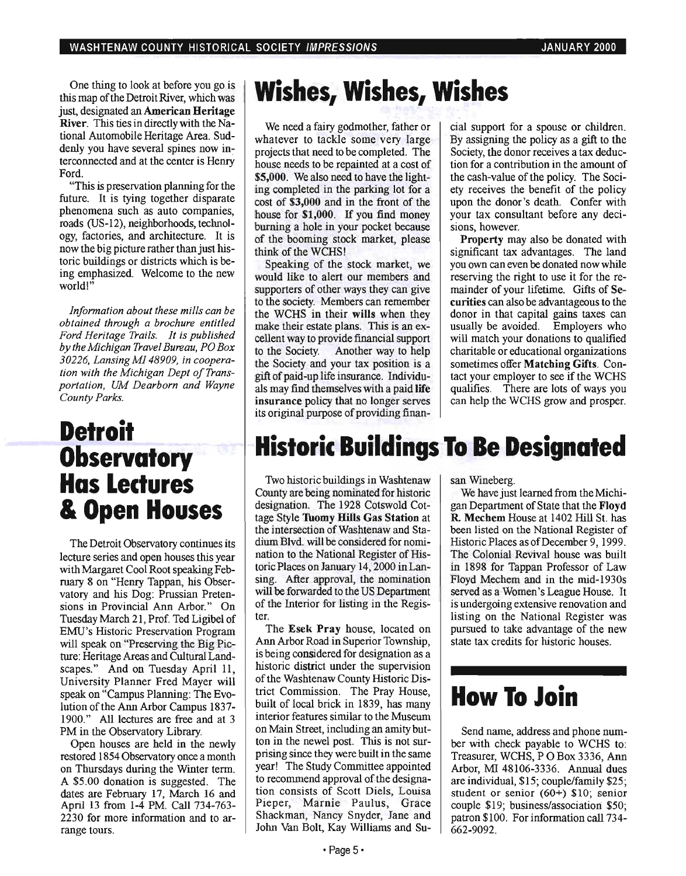One thing to look at before you go is this map of the Detroit River, which was just, designated an **American Heritage** River. This ties in directly with the National Automobile Heritage Area. Suddenly you have several spines now interconnected and at the center is Henry Ford.

"This is preservation planning for the future. It is tying together disparate phenomena such as auto companies, roads (US-12), neighborhoods, technology, factories, and architecture. It is now the big picture rather than just historic buildings or districts which is being emphasized. Welcome to the new world!"

*Information about these mills can be obtained through a brochure entitled Ford Heritage Trails. It is published by the Michigan Travel Bureau, PO Box 30226, Lansing MI 48909, in cooperation with the Michigan Dept of Transportation, UM Dearborn and Wayne County Parks.* 

## **Detroit Observatory Has Lectures & Open Houses**

The Detroit Observatory continues its lecture series and open houses this year with Margaret Cool Root speaking February 8 on "Henry Tappan, his Observatory and his Dog: Prussian Pretensions in Provincial Ann Arbor." On Tuesday March 21, Prof. Ted Ligibel of EMU's Historic Preservation Program will speak on "Preserving the Big Picture: Heritage Areas and Cultural Landscapes." And on Tuesday April 11, University Planner Fred Mayer will speak on "Campus Planning: The Evolution of the Ann Arbor Campus 1837- 1900." All lectures are free and at 3 PM in the Observatory Library.

Open houses are held in the newly restored 1854 Observatory once a month on Thursdays during the Winter term. A \$5.00 donation is suggested. The dates are February 17, March 16 and April l3 from 1-4 PM. Call 734-763- 2230 for more information and to arrange tours.

# **Wishes, Wishes, Wishes**

We need a fairy godmother, father or whatever to tackle some very large projects that need to be completed. The house needs to be repainted at a cost of \$5,000. We also need to have the lighting completed in the parking lot for a cost of \$3,000 and in the front of the house for \$1,000. If you find money burning a hole in your pocket because of the booming stock market, please think of the WCHS!

Speaking of the stock market, we would like to alert our members and supporters of other ways they can give to the society. Members can remember the WCHS in their wills when they make their estate plans. This is an excellent way to provide financial support to the Society. Another way to help the Society and your tax position is a gift of paid-up life insurance. Individuals may find themselves with a paid life insurance policy that no longer serves its original purpose of providing finan-

cial support for a spouse or children. By assigning the policy as a gift to the Society, the donor receives a tax deduction for a contribution in the amount of the cash-value of the policy. The Society receives the benefit of the policy upon the donor's death. Confer with your tax consultant before any decisions, however.

Property may also be donated with significant tax advantages. The land you own can even be donated now while reserving the right to use it for the remainder of your lifetime. Gifts of Securities can also be advantageous to the donor in that capital gains taxes can usually be avoided. Employers who will match your donations to qualified charitable or educational organizations sometimes offer Matching Gifts. Contact your employer to see if the WCHS qualifies. There are lots of ways you can help the WCHS grow and prosper.

## **Historic Buildings To Be Designated**

Two historic buildings in Washtenaw County are being nominated for historic designation. The 1928 Cotswold Cottage Style Tuomy Hills Gas Station at the intersection of Washtenaw and Stadium Blvd. will be considered for nomination to the National Register of HistoricPlaces on January 14, 2000 in Lansing. After approval, the nomination will be forwarded to the US Department of the Interior for listing in the Register.<br>Pr

The Esek Pray house, located on Ann Arbor Road in Superior Township, is being considered for designation as a historic district under the supervision of the Washtenaw County Historic District Commission. The Pray House, built of local brick in 1839, has many interior features similar to the Museum on Main Street, including an amity button in the newel post. This is not surprising since they were built in the same year! The Study Committee appointed to recommend approval of the designation consists of Scott Diels, Louisa Pieper, Marnie Paulus, Grace Shackman, Nancy Snyder, Jane and John Van Bolt, Kay Williams and Su-

#### san Wineberg.

We have just learned from the Michigan Department of State that the Floyd R Mechem House at 1402 Hill St. has been listed on the National Register of Historic Places as of December 9, 1999. The Colonial Revival house was built in 1898 for Tappan Professor of Law Floyd Mechem and in the mid-1930s served as a Women's League House. It is undergoing extensive renovation and listing on the National Register was pursued to take advantage of the new state tax credits for historic houses.

## How To **Join'**

Send name, address and phone number with check payable to WCHS to: Treasurer, WCHS, POBox 3336, Ann Arbor, MI 48106-3336. Annual dues are individual, \$15; couple/family \$25; student or senior (60+) \$10; senior couple \$19; business/association \$50; patron \$100. For information call 734- 662-9092.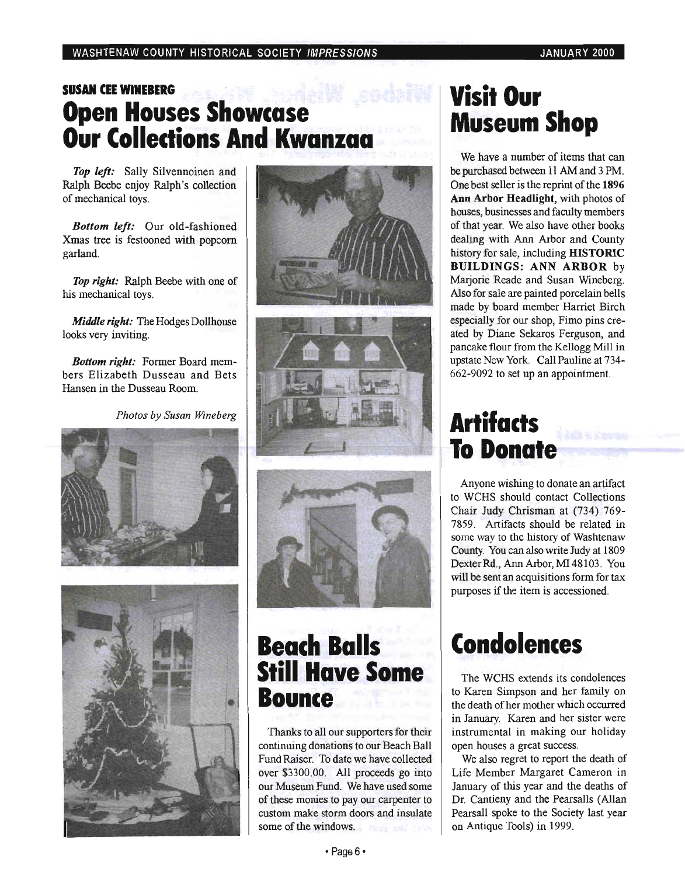## **SUSAN CEE WINEBERG Open Houses Showcase Our Colledions And Kwanzaa**

*Top left:* Sally Silvennoinen and Ralph Beebe enjoy Ralph's collection of mechanical toys.

*Bottom left:* Our old-fashioned Xmas tree is festooned with popcorn garland.

*Top right:* Ralph Beebe with one of his mechanical toys.

*Middle right:* The Hodges Dollhouse looks very inviting.

*Bottom right:* Former Board members Elizabeth Dusseau and Bets Hansen in the Dusseau Room.

Photos by Susan Wineberg











## **Beach Balls Still Have Some Bounce**

Thanks to all our supporters for their continuing donations to our Beach Ball Fund Raiser. To date we have collected over \$3300.00. All proceeds go into our Museum Fund. We have used some of these monies to pay our carpenter to custom make storm doors and insulate some of the windows.

## **Visit Our Museum Shop**

We have a number of items that can be purchased between 11 AM and 3 PM. One best seller is the reprint of the 1896 Ann Arbor Headlight, with photos of houses, businesses and faculty members of that year. We also have other books dealing with Ann Arbor and County history for sale, including **HISTORIC** BUILDINGS: ANN ARBOR by Marjorie Reade and Susan Wineberg. Also for sale are painted porcelain bells made by board member Harriet Birch especially for our shop, Fimo pins created by Diane Sekaros Ferguson, and pancake flour from the Kellogg Mill in upstate New York. Call Pauline at 734- 662-9092 to set up an appointment.

# **Artifacts To Donate**

Anyone wishing to donate an artifact to WCHS should contact Collections Chair Judy Chrisman at (734) 769- 7859. Artifacts should be related in some way to the history of Washtenaw County. You can also write Judy at 1809 Dexter Rd., Ann Arbor, MI 48103. You will be sent an acquisitions form for tax purposes if the item is accessioned.

# **Condolences**

The WCHS extends its condolences to Karen Simpson and her family on the death of her mother which occurred in January. Karen and her sister were instrumental in making our holiday open houses a great success.

We also regret to report the death of Life Member Margaret Cameron in January of this year and the deaths of Dr. Cantieny and the Pearsalls (Allan Pearsall spoke to the Society last year on Antique Tools) in 1999 .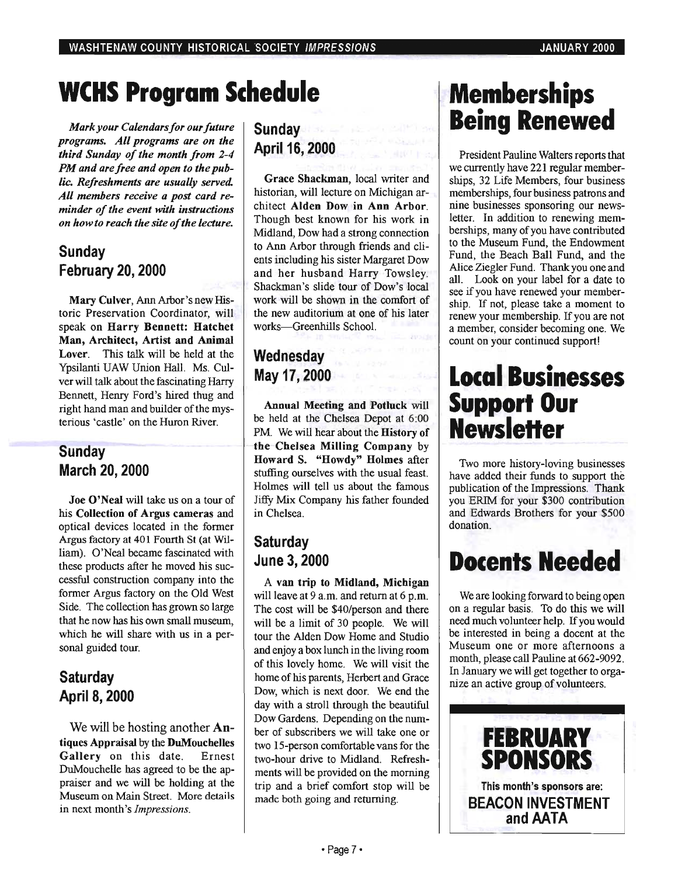# **weHS Program Schedule**

*Mark your Calendars for our future programs. All programs are on the third Sunday of the month from 2-4 PM and are free and open to the public. Refreshments are usually served. All members receive a post card reminder of the event with instructions on how to reach the site of the lecture.* 

## **Sunday February** 20, **2000**

Mary Culver, Ann Arbor's new Historic Preservation Coordinator, will speak on Harry Bennett: Hatchet Man, Architect, Artist and Animal Lover. This talk will be held at the Ypsilanti UAW Union Hall. Ms. Culver will talk about the fascinating Harry Bennett, Henry Ford's hired thug and right hand man and builder of the mysterious • castle' on the Huron River.

### **Sunday March 20,2000**

Joe O'Neal will take us on a tour of his Collection of Argus cameras and optical devices located in the former Argus factory at 401 Fourth St (at William). O'Neal became fascinated with these products after he moved his successful construction company into the former Argus factory on the Old West Side. The collection has grown so large that he now has his own small museum, which he will share with us in a personal guided tour.

### **Saturday AprilS,2000**

We will be hosting another **An**tiques Appraisal by the DuMouchelles Gallery on this date. Ernest DuMouchelle has agreed to be the appraiser and we will be holding at the Museum on Main Street. More details in next month's *Impressions.* 

## **Sunday**  April 16, **2000**

Grace Shackman, local writer and historian, will lecture on Michigan architect Alden Dow in Ann Arbor. Though best known for his work in Midland, Dow had a strong connection to Ann Arbor through friends and clients including his sister Margaret Dow and her husband Harry Towsley. Shackman's slide tour of Dow's local work will be shown in the comfort of the new auditorium at one of his later works-Greenhills School.

## **Wednesday May 17,2000**

Annual Meeting and Potluck will be held at the Chelsea Depot at 6:00 PM. We will hear about the **History of** the Chelsea Milling Company by Howard S. "Howdy" Holmes after stuffing ourselves with the usual feast. Holmes will tell us about the famous Jiffy Mix Company his father founded in Chelsea.

### **Saturday June 3, 2000**

A van trip to Midland, Michigan will leave at 9 a.m. and return at 6 p.m. The cost will be \$40/person and there will be a limit of 30 people. We will tour the Alden Dow Home and Studio and enjoy a box lunch in the living room of this lovely home. We will visit the home of his parents, Herbert and Grace Dow, which is next door. We end the day with a stroll through the beautiful Dow Gardens. Depending on the number of subscribers we will take one or two IS-person comfortable vans for the two-hour drive to Midland. Refreshments will be provided on the morning trip and a brief comfort stop will be made both going and returning.

## **Memberships Being Renewed**

President Pauline Walters reports that we currently have 221 regular memberships, 32 Life Members, four business memberships, four business patrons and nine businesses sponsoring our newsletter. In addition to renewing memberships, many of you have contributed to the Museum Fund, the Endowment Fund, the Beach Ball Fund, and the Alice Ziegler Fund. Thank you one and all. Look on your label for a date to see if you have renewed your membership. If not, please take a moment to renew your membership. If you are not a member, consider becoming one. We count on your continued support!

## **Local Businesses Support Our NewsleHer**

Two more history-loving businesses have added their funds to support the publication of the Impressions. Thank you ERIM for your \$300 contribution and Edwards Brothers for your \$500 donation.

# **Docents Needed**

We are looking forward to being open on a regular basis. To do this we will need much volunteer help. If you would be interested in being a docent at the Museum one or more afternoons a month, please call Pauline at 662-9092. In January we will get together to organize an active group of volunteers.